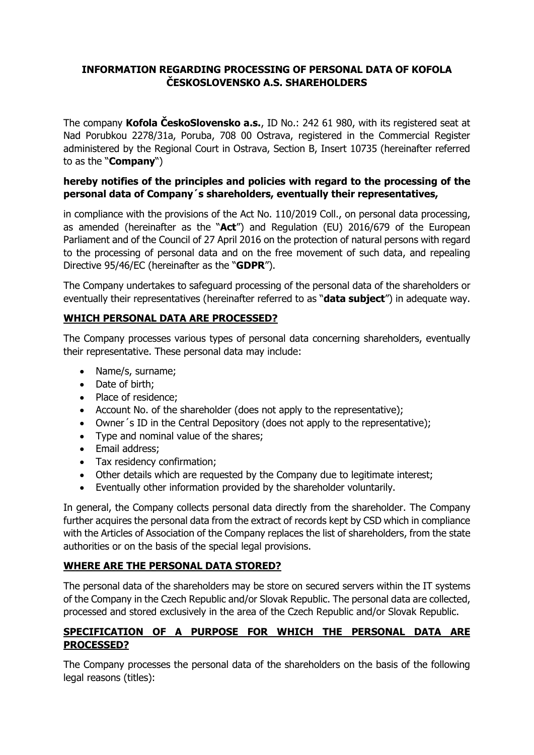### **INFORMATION REGARDING PROCESSING OF PERSONAL DATA OF KOFOLA ČESKOSLOVENSKO A.S. SHAREHOLDERS**

The company **Kofola ČeskoSlovensko a.s.**, ID No.: 242 61 980, with its registered seat at Nad Porubkou 2278/31a, Poruba, 708 00 Ostrava, registered in the Commercial Register administered by the Regional Court in Ostrava, Section B, Insert 10735 (hereinafter referred to as the "**Company**")

### **hereby notifies of the principles and policies with regard to the processing of the personal data of Company´s shareholders, eventually their representatives,**

in compliance with the provisions of the Act No. 110/2019 Coll., on personal data processing, as amended (hereinafter as the "**Act**") and Regulation (EU) 2016/679 of the European Parliament and of the Council of 27 April 2016 on the protection of natural persons with regard to the processing of personal data and on the free movement of such data, and repealing Directive 95/46/EC (hereinafter as the "**GDPR**").

The Company undertakes to safeguard processing of the personal data of the shareholders or eventually their representatives (hereinafter referred to as "**data subject**") in adequate way.

## **WHICH PERSONAL DATA ARE PROCESSED?**

The Company processes various types of personal data concerning shareholders, eventually their representative. These personal data may include:

- Name/s, surname;
- Date of birth;
- Place of residence;
- Account No. of the shareholder (does not apply to the representative);
- Owner's ID in the Central Depository (does not apply to the representative);
- Type and nominal value of the shares;
- Email address;
- Tax residency confirmation;
- Other details which are requested by the Company due to legitimate interest;
- Eventually other information provided by the shareholder voluntarily.

In general, the Company collects personal data directly from the shareholder. The Company further acquires the personal data from the extract of records kept by CSD which in compliance with the Articles of Association of the Company replaces the list of shareholders, from the state authorities or on the basis of the special legal provisions.

### **WHERE ARE THE PERSONAL DATA STORED?**

The personal data of the shareholders may be store on secured servers within the IT systems of the Company in the Czech Republic and/or Slovak Republic. The personal data are collected, processed and stored exclusively in the area of the Czech Republic and/or Slovak Republic.

### **SPECIFICATION OF A PURPOSE FOR WHICH THE PERSONAL DATA ARE PROCESSED?**

The Company processes the personal data of the shareholders on the basis of the following legal reasons (titles):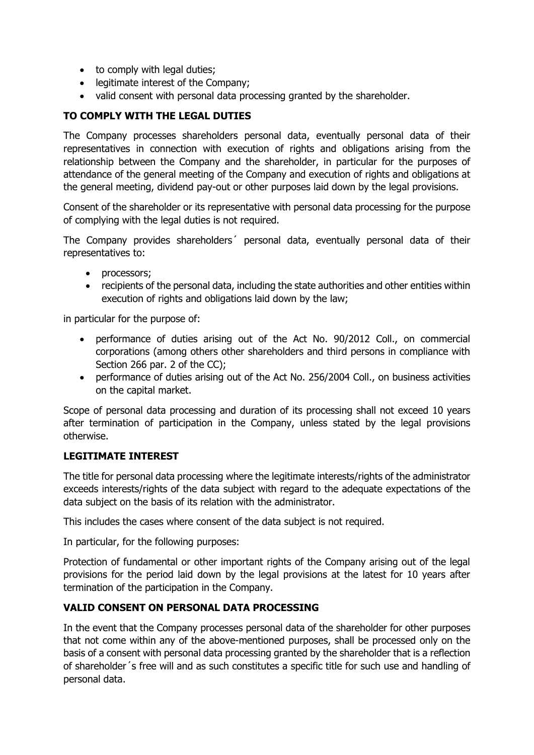- to comply with legal duties;
- legitimate interest of the Company;
- valid consent with personal data processing granted by the shareholder.

## **TO COMPLY WITH THE LEGAL DUTIES**

The Company processes shareholders personal data, eventually personal data of their representatives in connection with execution of rights and obligations arising from the relationship between the Company and the shareholder, in particular for the purposes of attendance of the general meeting of the Company and execution of rights and obligations at the general meeting, dividend pay-out or other purposes laid down by the legal provisions.

Consent of the shareholder or its representative with personal data processing for the purpose of complying with the legal duties is not required.

The Company provides shareholders´ personal data, eventually personal data of their representatives to:

- processors;
- recipients of the personal data, including the state authorities and other entities within execution of rights and obligations laid down by the law;

in particular for the purpose of:

- performance of duties arising out of the Act No. 90/2012 Coll., on commercial corporations (among others other shareholders and third persons in compliance with Section 266 par. 2 of the CC);
- performance of duties arising out of the Act No. 256/2004 Coll., on business activities on the capital market.

Scope of personal data processing and duration of its processing shall not exceed 10 years after termination of participation in the Company, unless stated by the legal provisions otherwise.

### **LEGITIMATE INTEREST**

The title for personal data processing where the legitimate interests/rights of the administrator exceeds interests/rights of the data subject with regard to the adequate expectations of the data subject on the basis of its relation with the administrator.

This includes the cases where consent of the data subject is not required.

In particular, for the following purposes:

Protection of fundamental or other important rights of the Company arising out of the legal provisions for the period laid down by the legal provisions at the latest for 10 years after termination of the participation in the Company.

### **VALID CONSENT ON PERSONAL DATA PROCESSING**

In the event that the Company processes personal data of the shareholder for other purposes that not come within any of the above-mentioned purposes, shall be processed only on the basis of a consent with personal data processing granted by the shareholder that is a reflection of shareholder´s free will and as such constitutes a specific title for such use and handling of personal data.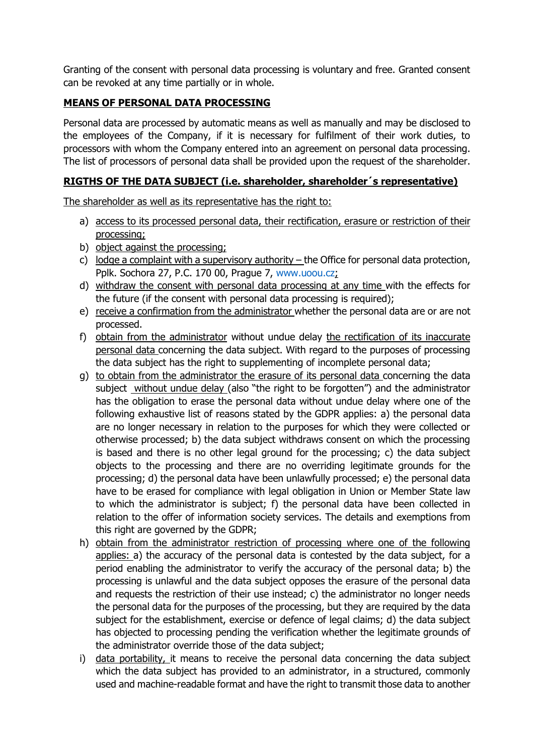Granting of the consent with personal data processing is voluntary and free. Granted consent can be revoked at any time partially or in whole.

# **MEANS OF PERSONAL DATA PROCESSING**

Personal data are processed by automatic means as well as manually and may be disclosed to the employees of the Company, if it is necessary for fulfilment of their work duties, to processors with whom the Company entered into an agreement on personal data processing. The list of processors of personal data shall be provided upon the request of the shareholder.

### **RIGTHS OF THE DATA SUBJECT (i.e. shareholder, shareholder´s representative)**

The shareholder as well as its representative has the right to:

- a) access to its processed personal data, their rectification, erasure or restriction of their processing;
- b) object against the processing;
- c) lodge a complaint with a supervisory authority the Office for personal data protection, Pplk. Sochora 27, P.C. 170 00, Prague 7, [www.uoou.cz;](http://www.uoou.cz/)
- d) withdraw the consent with personal data processing at any time with the effects for the future (if the consent with personal data processing is required);
- e) receive a confirmation from the administrator whether the personal data are or are not processed.
- f) obtain from the administrator without undue delay the rectification of its inaccurate personal data concerning the data subject. With regard to the purposes of processing the data subject has the right to supplementing of incomplete personal data;
- g) to obtain from the administrator the erasure of its personal data concerning the data subject without undue delay (also "the right to be forgotten") and the administrator has the obligation to erase the personal data without undue delay where one of the following exhaustive list of reasons stated by the GDPR applies: a) the personal data are no longer necessary in relation to the purposes for which they were collected or otherwise processed; b) the data subject withdraws consent on which the processing is based and there is no other legal ground for the processing; c) the data subject objects to the processing and there are no overriding legitimate grounds for the processing; d) the personal data have been unlawfully processed; e) the personal data have to be erased for compliance with legal obligation in Union or Member State law to which the administrator is subject; f) the personal data have been collected in relation to the offer of information society services. The details and exemptions from this right are governed by the GDPR;
- h) obtain from the administrator restriction of processing where one of the following applies: a) the accuracy of the personal data is contested by the data subject, for a period enabling the administrator to verify the accuracy of the personal data; b) the processing is unlawful and the data subject opposes the erasure of the personal data and requests the restriction of their use instead; c) the administrator no longer needs the personal data for the purposes of the processing, but they are required by the data subject for the establishment, exercise or defence of legal claims; d) the data subject has objected to processing pending the verification whether the legitimate grounds of the administrator override those of the data subject;
- i) data portability, it means to receive the personal data concerning the data subject which the data subject has provided to an administrator, in a structured, commonly used and machine-readable format and have the right to transmit those data to another